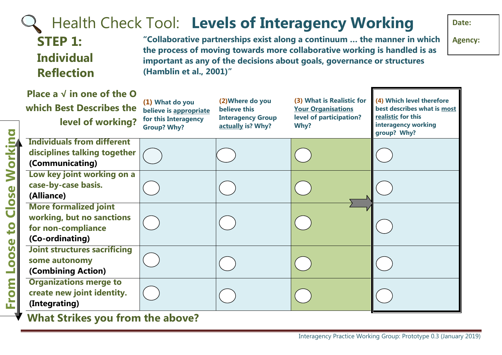#### Health Check Tool: **Levels of Interagency Working Date: "Collaborative partnerships exist along a continuum … the manner in which STEP 1: Agency: the process of moving towards more collaborative working is handled is as Individual important as any of the decisions about goals, governance or structures (Hamblin et al., 2001)" Reflection Place a √ in one of the O (4) Which level therefore (2)Where do you (3) What is Realistic for (1) What do you which Best Describes the believe this Your Organisations best describes what is most believe is appropriate level of participation? realistic for this Interagency Group for this Interagency level of working? interagency working actually is? Why? Why? Group? Why?** Workina **From Loose to Close Workinggroup? Why? Individuals from different disciplines talking together (Communicating) Low key joint working on a case-by-case basis.** Close **(Alliance) More formalized joint working, but no sanctions for non-compliance (Co-ordinating) Joint structures sacrificing some autonomy (Combining Action) Organizations merge to create new joint identity. (Integrating)**

**What Strikes you from the above?**

to

Loose

From